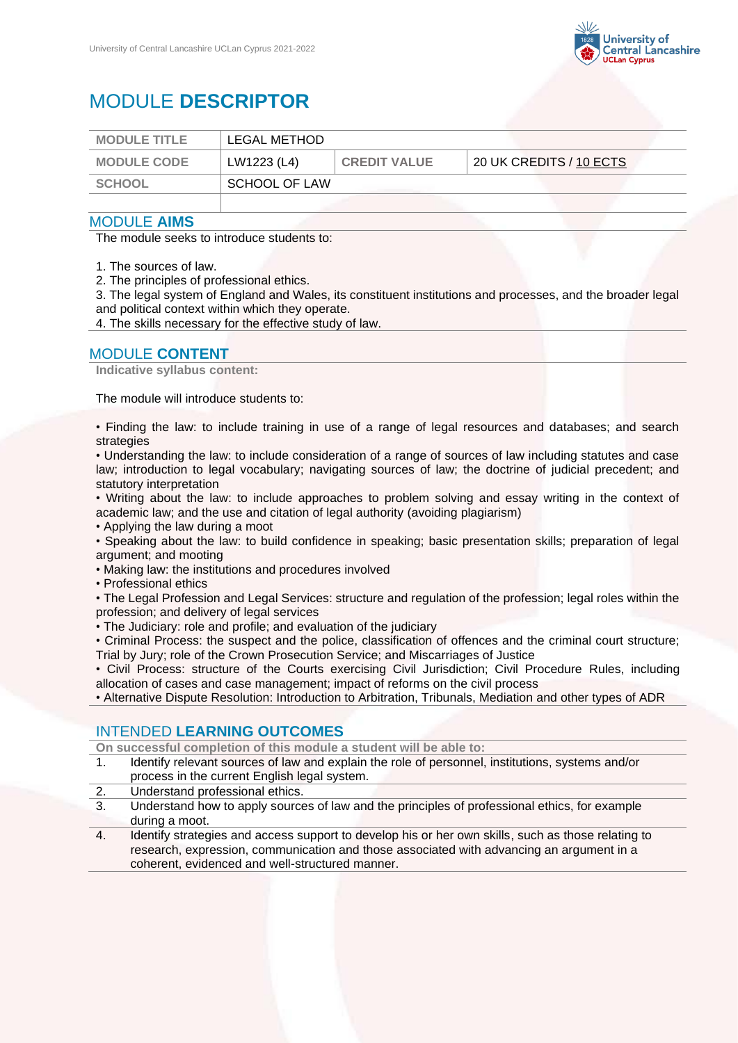

# MODULE **DESCRIPTOR**

| <b>MODULE TITLE</b> | LEGAL METHOD  |                     |                         |
|---------------------|---------------|---------------------|-------------------------|
| <b>MODULE CODE</b>  | LW1223 (L4)   | <b>CREDIT VALUE</b> | 20 UK CREDITS / 10 ECTS |
| SCHOOL              | SCHOOL OF LAW |                     |                         |
|                     |               |                     |                         |

#### MODULE **AIMS**

The module seeks to introduce students to:

1. The sources of law.

2. The principles of professional ethics.

3. The legal system of England and Wales, its constituent institutions and processes, and the broader legal and political context within which they operate.

4. The skills necessary for the effective study of law.

### MODULE **CONTENT**

**Indicative syllabus content:**

The module will introduce students to:

• Finding the law: to include training in use of a range of legal resources and databases; and search strategies

• Understanding the law: to include consideration of a range of sources of law including statutes and case law; introduction to legal vocabulary; navigating sources of law; the doctrine of judicial precedent; and statutory interpretation

• Writing about the law: to include approaches to problem solving and essay writing in the context of academic law; and the use and citation of legal authority (avoiding plagiarism)

• Applying the law during a moot

• Speaking about the law: to build confidence in speaking; basic presentation skills; preparation of legal argument; and mooting

• Making law: the institutions and procedures involved

• Professional ethics

• The Legal Profession and Legal Services: structure and regulation of the profession; legal roles within the profession; and delivery of legal services

• The Judiciary: role and profile; and evaluation of the judiciary

• Criminal Process: the suspect and the police, classification of offences and the criminal court structure; Trial by Jury; role of the Crown Prosecution Service; and Miscarriages of Justice

• Civil Process: structure of the Courts exercising Civil Jurisdiction; Civil Procedure Rules, including allocation of cases and case management; impact of reforms on the civil process

• Alternative Dispute Resolution: Introduction to Arbitration, Tribunals, Mediation and other types of ADR

# INTENDED **LEARNING OUTCOMES**

**On successful completion of this module a student will be able to:**

- 1. Identify relevant sources of law and explain the role of personnel, institutions, systems and/or process in the current English legal system.
- 2. Understand professional ethics.
- 3. Understand how to apply sources of law and the principles of professional ethics, for example during a moot.
- 4. Identify strategies and access support to develop his or her own skills, such as those relating to research, expression, communication and those associated with advancing an argument in a coherent, evidenced and well-structured manner.